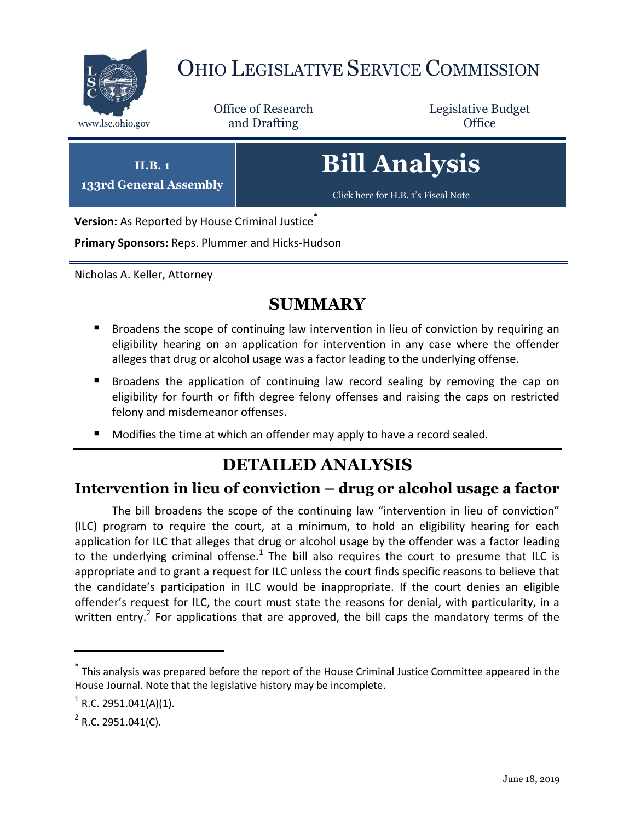

# OHIO LEGISLATIVE SERVICE COMMISSION

Office of Research www.lsc.ohio.gov and Drafting Control Control of Control Control Office

Legislative Budget



**Version:** As Reported by House Criminal Justice<sup>®</sup>

**Primary Sponsors:** Reps. Plummer and Hicks-Hudson

Nicholas A. Keller, Attorney

## **SUMMARY**

- Broadens the scope of continuing law intervention in lieu of conviction by requiring an eligibility hearing on an application for intervention in any case where the offender alleges that drug or alcohol usage was a factor leading to the underlying offense.
- **Broadens the application of continuing law record sealing by removing the cap on** eligibility for fourth or fifth degree felony offenses and raising the caps on restricted felony and misdemeanor offenses.
- Modifies the time at which an offender may apply to have a record sealed.

## **DETAILED ANALYSIS**

#### **Intervention in lieu of conviction – drug or alcohol usage a factor**

The bill broadens the scope of the continuing law "intervention in lieu of conviction" (ILC) program to require the court, at a minimum, to hold an eligibility hearing for each application for ILC that alleges that drug or alcohol usage by the offender was a factor leading to the underlying criminal offense.<sup>1</sup> The bill also requires the court to presume that ILC is appropriate and to grant a request for ILC unless the court finds specific reasons to believe that the candidate's participation in ILC would be inappropriate. If the court denies an eligible offender's request for ILC, the court must state the reasons for denial, with particularity, in a written entry.<sup>2</sup> For applications that are approved, the bill caps the mandatory terms of the

 $\overline{a}$ 

<sup>\*</sup> This analysis was prepared before the report of the House Criminal Justice Committee appeared in the House Journal. Note that the legislative history may be incomplete.

 $1$  R.C. 2951.041(A)(1).

 $2$  R.C. 2951.041(C).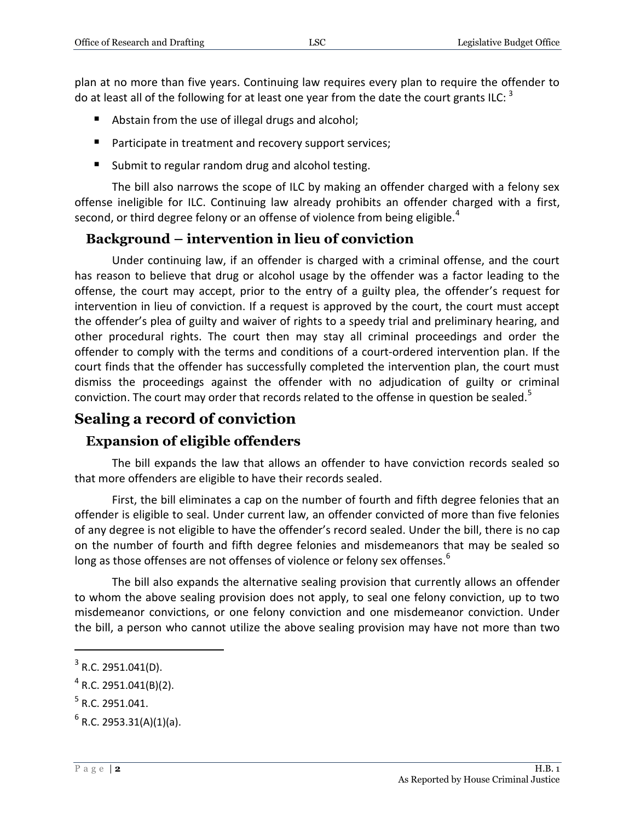plan at no more than five years. Continuing law requires every plan to require the offender to do at least all of the following for at least one year from the date the court grants ILC: <sup>3</sup>

- Abstain from the use of illegal drugs and alcohol;
- **Participate in treatment and recovery support services;**
- Submit to regular random drug and alcohol testing.

The bill also narrows the scope of ILC by making an offender charged with a felony sex offense ineligible for ILC. Continuing law already prohibits an offender charged with a first, second, or third degree felony or an offense of violence from being eligible.<sup>4</sup>

#### **Background – intervention in lieu of conviction**

Under continuing law, if an offender is charged with a criminal offense, and the court has reason to believe that drug or alcohol usage by the offender was a factor leading to the offense, the court may accept, prior to the entry of a guilty plea, the offender's request for intervention in lieu of conviction. If a request is approved by the court, the court must accept the offender's plea of guilty and waiver of rights to a speedy trial and preliminary hearing, and other procedural rights. The court then may stay all criminal proceedings and order the offender to comply with the terms and conditions of a court-ordered intervention plan. If the court finds that the offender has successfully completed the intervention plan, the court must dismiss the proceedings against the offender with no adjudication of guilty or criminal conviction. The court may order that records related to the offense in question be sealed.<sup>5</sup>

### **Sealing a record of conviction**

#### **Expansion of eligible offenders**

The bill expands the law that allows an offender to have conviction records sealed so that more offenders are eligible to have their records sealed.

First, the bill eliminates a cap on the number of fourth and fifth degree felonies that an offender is eligible to seal. Under current law, an offender convicted of more than five felonies of any degree is not eligible to have the offender's record sealed. Under the bill, there is no cap on the number of fourth and fifth degree felonies and misdemeanors that may be sealed so long as those offenses are not offenses of violence or felony sex offenses.<sup>6</sup>

The bill also expands the alternative sealing provision that currently allows an offender to whom the above sealing provision does not apply, to seal one felony conviction, up to two misdemeanor convictions, or one felony conviction and one misdemeanor conviction. Under the bill, a person who cannot utilize the above sealing provision may have not more than two

 $\overline{a}$ 

 $3$  R.C. 2951.041(D).

 $^4$  R.C. 2951.041(B)(2).

 $<sup>5</sup>$  R.C. 2951.041.</sup>

 $^6$  R.C. 2953.31(A)(1)(a).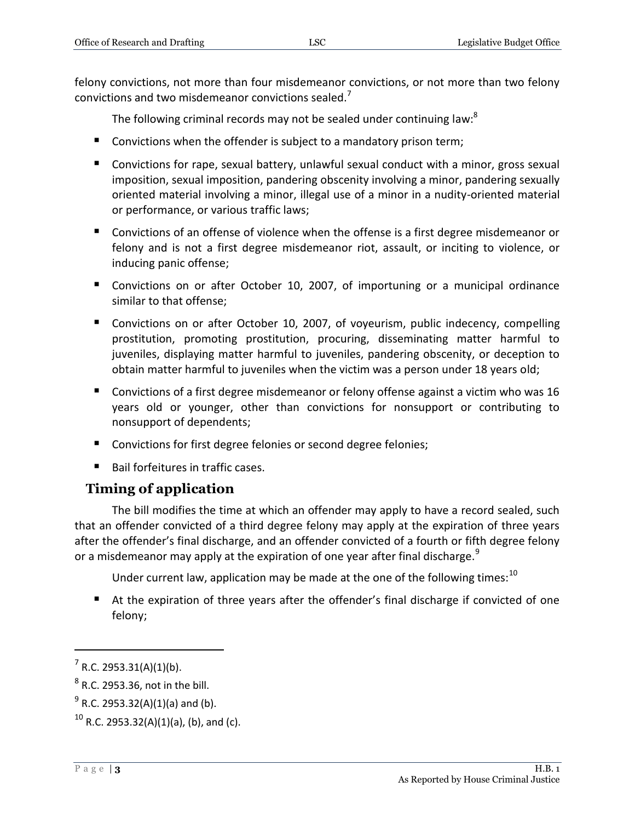felony convictions, not more than four misdemeanor convictions, or not more than two felony convictions and two misdemeanor convictions sealed.<sup>7</sup>

The following criminal records may not be sealed under continuing law:<sup>8</sup>

- Convictions when the offender is subject to a mandatory prison term;
- Convictions for rape, sexual battery, unlawful sexual conduct with a minor, gross sexual imposition, sexual imposition, pandering obscenity involving a minor, pandering sexually oriented material involving a minor, illegal use of a minor in a nudity-oriented material or performance, or various traffic laws;
- Convictions of an offense of violence when the offense is a first degree misdemeanor or felony and is not a first degree misdemeanor riot, assault, or inciting to violence, or inducing panic offense;
- **Convictions on or after October 10, 2007, of importuning or a municipal ordinance** similar to that offense;
- Convictions on or after October 10, 2007, of voyeurism, public indecency, compelling prostitution, promoting prostitution, procuring, disseminating matter harmful to juveniles, displaying matter harmful to juveniles, pandering obscenity, or deception to obtain matter harmful to juveniles when the victim was a person under 18 years old;
- Convictions of a first degree misdemeanor or felony offense against a victim who was 16 years old or younger, other than convictions for nonsupport or contributing to nonsupport of dependents;
- **Convictions for first degree felonies or second degree felonies;**
- Bail forfeitures in traffic cases.

#### **Timing of application**

The bill modifies the time at which an offender may apply to have a record sealed, such that an offender convicted of a third degree felony may apply at the expiration of three years after the offender's final discharge, and an offender convicted of a fourth or fifth degree felony or a misdemeanor may apply at the expiration of one year after final discharge.<sup>9</sup>

Under current law, application may be made at the one of the following times:  $10$ 

 At the expiration of three years after the offender's final discharge if convicted of one felony;

 $\overline{a}$ 

 $7$  R.C. 2953.31(A)(1)(b).

 $^8$  R.C. 2953.36, not in the bill.

 $^{9}$  R.C. 2953.32(A)(1)(a) and (b).

 $10$  R.C. 2953.32(A)(1)(a), (b), and (c).